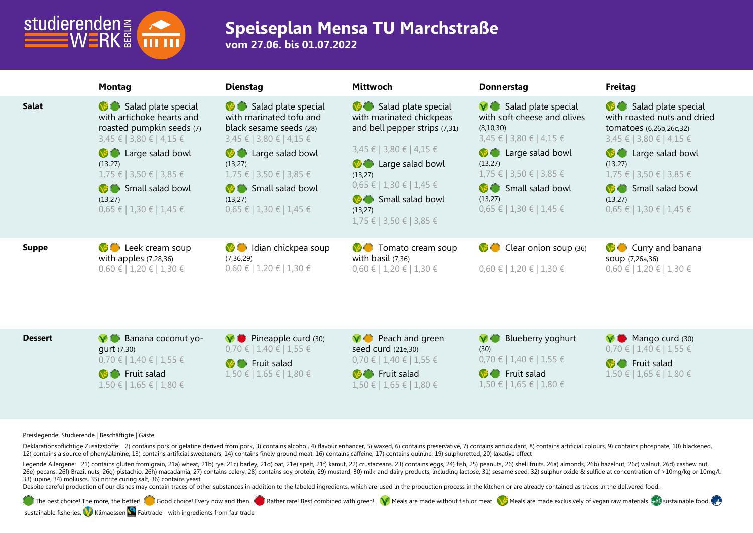

## **Speiseplan Mensa TU Marchstraße**

**vom 27.06. bis 01.07.2022**

|                | <b>Montag</b>                                                                                                                                                                                                                                     | <b>Dienstag</b>                                                                                                                                                                                                                                    | <b>Mittwoch</b>                                                                                                                                                                                                                                       | <b>Donnerstag</b>                                                                                                                                                                                                                                            | <b>Freitag</b>                                                                                                                                                                                                                                         |
|----------------|---------------------------------------------------------------------------------------------------------------------------------------------------------------------------------------------------------------------------------------------------|----------------------------------------------------------------------------------------------------------------------------------------------------------------------------------------------------------------------------------------------------|-------------------------------------------------------------------------------------------------------------------------------------------------------------------------------------------------------------------------------------------------------|--------------------------------------------------------------------------------------------------------------------------------------------------------------------------------------------------------------------------------------------------------------|--------------------------------------------------------------------------------------------------------------------------------------------------------------------------------------------------------------------------------------------------------|
| <b>Salat</b>   | Salad plate special<br>with artichoke hearts and<br>roasted pumpkin seeds (7)<br>3,45 €   3,80 €   4,15 €<br><b>B</b> Large salad bowl<br>(13, 27)<br>$1,75 \in$   3,50 €   3,85 €<br>Small salad bowl<br>(13,27)<br>$0.65 \in 1.30 \in 1.45 \in$ | Salad plate special<br>with marinated tofu and<br>black sesame seeds (28)<br>$3,45 \in$   3,80 €   4,15 €<br><b>B</b> Large salad bowl<br>(13, 27)<br>$1,75 \in$   3,50 €   3,85 €<br>Small salad bowl<br>(13, 27)<br>$0.65 \in 1.30 \in 1.45 \in$ | Salad plate special<br>with marinated chickpeas<br>and bell pepper strips (7,31)<br>3,45 €   3,80 €   4,15 €<br><b>B</b> Large salad bowl<br>(13, 27)<br>$0,65 \in$   1,30 €   1,45 €<br>Small salad bowl<br>(13, 27)<br>$1,75 \in$   3,50 €   3,85 € | $\vee$ Salad plate special<br>with soft cheese and olives<br>(8, 10, 30)<br>$3,45 \notin$   3,80 €   4,15 €<br><b>C</b> Large salad bowl<br>(13,27)<br>$1,75 \in$   3,50 €   3,85 €<br><b>S</b> Small salad bowl<br>(13, 27)<br>$0,65 \in$   1,30 €   1,45 € | Salad plate special<br>with roasted nuts and dried<br>tomatoes (6,26b,26c,32)<br>$3,45 \in$   3,80 €   4,15 €<br><b>B</b> Large salad bowl<br>(13, 27)<br>$1,75 \in$   3,50 €   3,85 €<br>Small salad bowl<br>(13, 27)<br>$0.65 \in 1.30 \in 1.45 \in$ |
| <b>Suppe</b>   | Leek cream soup<br>$\vee$<br>with apples $(7,28,36)$<br>$0,60 \in 1,20 \in 1,30 \in$                                                                                                                                                              | Idian chickpea soup<br><b>VSO</b><br>(7, 36, 29)<br>$0,60 \in 1,20 \in 1,30 \in$                                                                                                                                                                   | <b>O</b> Tomato cream soup<br>with basil $(7,36)$<br>$0,60 \in 1,20 \in 1,30 \in$                                                                                                                                                                     | Clear onion soup (36)<br>$0,60 \in 1,20 \in 1,30 \in$                                                                                                                                                                                                        | <b>C</b> Curry and banana<br>soup (7,26a,36)<br>$0,60 \in 1,20 \in 1,30 \in$                                                                                                                                                                           |
| <b>Dessert</b> | Banana coconut yo-<br>$\vee$<br>qurt (7,30)<br>$0,70 \in   1,40 \in   1,55 \in$                                                                                                                                                                   | $\vee$ Pineapple curd (30)<br>$0,70 \in   1,40 \in   1,55 \in$<br><b>NE Fruit calad</b>                                                                                                                                                            | $\vee$ Peach and green<br>seed curd (21e,30)<br>$0,70 \in$   1,40 €   1,55 €                                                                                                                                                                          | Blueberry yoghurt<br>$\vee$<br>(30)<br>$0,70 \in   1,40 \in   1,55 \in$                                                                                                                                                                                      | $\vee$ Mango curd (30)<br>$0,70 \in   1,40 \in   1,55 \in$<br>$\bigcirc$ Eruit calad                                                                                                                                                                   |

**B** Fruit salad 1,50 € | 1,65 € | 1,80 €

**B** Fruit salad 1,50 € | 1,65 € | 1,80 €

0,70 € | 1,40 € | 1,55 € **M** Fruit salad 1,50 € | 1,65 € | 1,80 €

0,70 € | 1,40 € | 1,55 € **B** Fruit salad 1,50 € | 1,65 € | 1,80 € **M** Fruit salad 1,50 € | 1,65 € | 1,80 €

**Preislegende: Studierende | Beschäftigte | Gäste**

Deklarationspflichtige Zusatzstoffe: 2) contains pork or gelatine derived from pork, 3) contains alcohol, 4) flavour enhancer, 5) waxed, 6) contains preservative, 7) contains antioxidant, 8) contains artificial colours, 9) 12) contains a source of phenylalanine, 13) contains artificial sweeteners, 14) contains finely ground meat, 16) contains caffeine, 17) contains quinine, 19) sulphuretted, 20) laxative effect

Legende Allergene: 21) contains gluten from grain, 21a) wheat, 21b) rye, 21c) barley, 21d) oat, 21e) spelt, 21f) kamut, 22) crustaceans, 23) contains eggs, 24) fish, 25) peanuts, 26) shell fruits, 26a) almonds, 26b) hazeln 260 Decans, 260 Brazil nuts, 260 Distachio, 26th macadamia, 27) contains celery, 28) contains soy protein, 29) mustard, 30) milk and dairy products, including lactose, 31) sesame seed, 32) sulphur oxide & sulfide at concen 33) lupine, 34) molluscs, 35) nitrite curing salt, 36) contains yeast

Despite careful production of our dishes may contain traces of other substances in addition to the labeled ingredients, which are used in the production process in the kitchen or are already contained as traces in the deli

The best choice! The more, the better!  $\Box$  Good choice! Every now and then.  $\Box$  Rather rare! Best combined with green!.  $\Box$  Meals are made without fish or meat.  $\Box$  Meals are made exclusively of vegan raw materials.

sustainable fisheries, Klimaessen **S** Fairtrade - with ingredients from fair trade